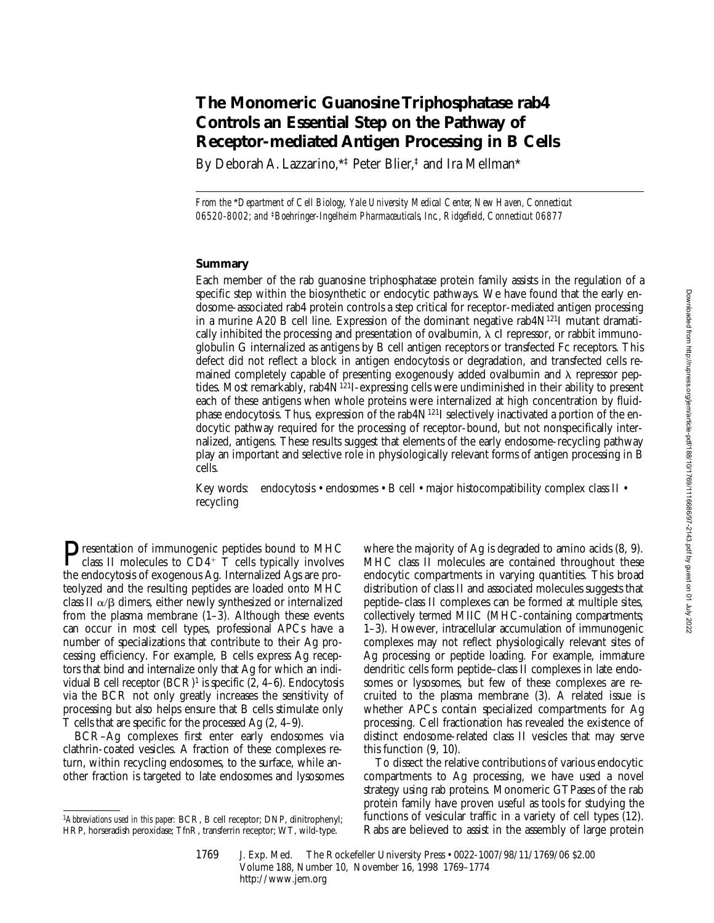# **The Monomeric Guanosine Triphosphatase rab4 Controls an Essential Step on the Pathway of Receptor-mediated Antigen Processing in B Cells**

By Deborah A. Lazzarino,\*‡ Peter Blier,‡ and Ira Mellman\*

*From the* \**Department of Cell Biology, Yale University Medical Center, New Haven, Connecticut 06520-8002; and* ‡*Boehringer-Ingelheim Pharmaceuticals, Inc., Ridgefield, Connecticut 06877*

### **Summary**

Each member of the rab guanosine triphosphatase protein family assists in the regulation of a specific step within the biosynthetic or endocytic pathways. We have found that the early endosome-associated rab4 protein controls a step critical for receptor-mediated antigen processing in a murine A20 B cell line. Expression of the dominant negative rab4 $N^{121}$ I mutant dramatically inhibited the processing and presentation of ovalbumin,  $\lambda$  cI repressor, or rabbit immunoglobulin G internalized as antigens by B cell antigen receptors or transfected Fc receptors. This defect did not reflect a block in antigen endocytosis or degradation, and transfected cells remained completely capable of presenting exogenously added ovalbumin and  $\lambda$  repressor peptides. Most remarkably, rab4N121I-expressing cells were undiminished in their ability to present each of these antigens when whole proteins were internalized at high concentration by fluidphase endocytosis. Thus, expression of the rab4N<sup>121</sup>I selectively inactivated a portion of the endocytic pathway required for the processing of receptor-bound, but not nonspecifically internalized, antigens. These results suggest that elements of the early endosome-recycling pathway play an important and selective role in physiologically relevant forms of antigen processing in B cells.

Key words: endocytosis • endosomes • B cell • major histocompatibility complex class II • recycling

**P**resentation of immunogenic peptides bound to MHC class II molecules to  $\overline{CD}4^+$  T cells typically involves the endocytosis of exogenous Ag. Internalized Ags are proteolyzed and the resulting peptides are loaded onto MHC class II  $\alpha/\beta$  dimers, either newly synthesized or internalized from the plasma membrane  $(1-3)$ . Although these events can occur in most cell types, professional APCs have a number of specializations that contribute to their Ag processing efficiency. For example, B cells express Ag receptors that bind and internalize only that Ag for which an individual B cell receptor  $(BCR)^1$  is specific  $(2, 4-6)$ . Endocytosis via the BCR not only greatly increases the sensitivity of processing but also helps ensure that B cells stimulate only T cells that are specific for the processed Ag (2, 4–9).

BCR–Ag complexes first enter early endosomes via clathrin-coated vesicles. A fraction of these complexes return, within recycling endosomes, to the surface, while another fraction is targeted to late endosomes and lysosomes where the majority of Ag is degraded to amino acids (8, 9). MHC class II molecules are contained throughout these endocytic compartments in varying quantities. This broad distribution of class II and associated molecules suggests that peptide–class II complexes can be formed at multiple sites, collectively termed MIIC (MHC-containing compartments; 1–3). However, intracellular accumulation of immunogenic complexes may not reflect physiologically relevant sites of Ag processing or peptide loading. For example, immature dendritic cells form peptide–class II complexes in late endosomes or lysosomes, but few of these complexes are recruited to the plasma membrane (3). A related issue is whether APCs contain specialized compartments for Ag processing. Cell fractionation has revealed the existence of distinct endosome-related class II vesicles that may serve this function (9, 10).

To dissect the relative contributions of various endocytic compartments to Ag processing, we have used a novel strategy using rab proteins. Monomeric GTPases of the rab protein family have proven useful as tools for studying the functions of vesicular traffic in a variety of cell types (12). Rabs are believed to assist in the assembly of large protein

<sup>1</sup>*Abbreviations used in this paper:* BCR, B cell receptor; DNP, dinitrophenyl; HRP, horseradish peroxidase; TfnR, transferrin receptor; WT, wild-type.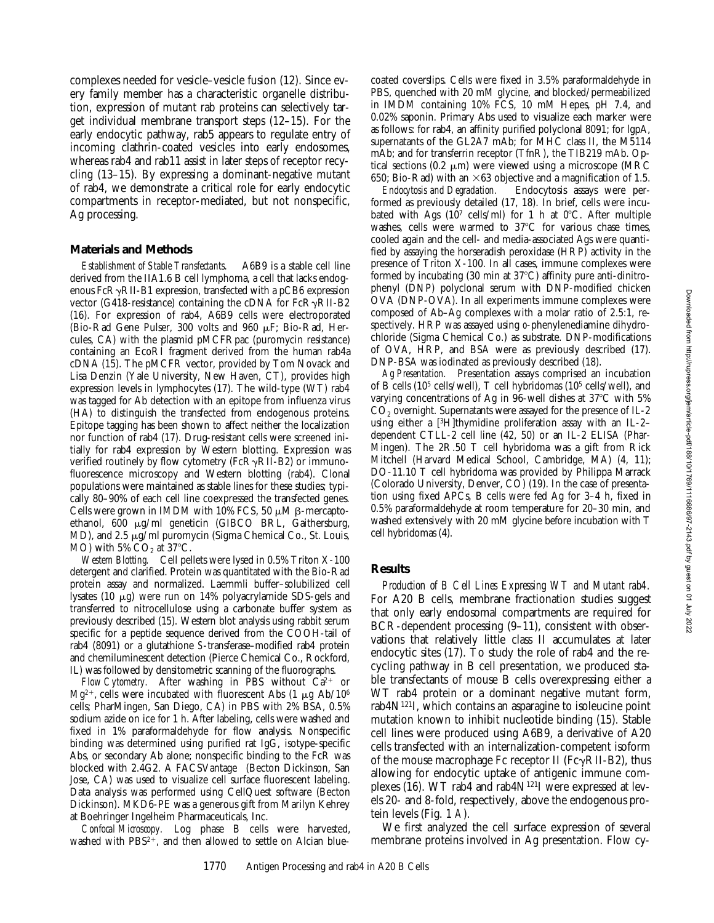complexes needed for vesicle–vesicle fusion (12). Since every family member has a characteristic organelle distribution, expression of mutant rab proteins can selectively target individual membrane transport steps (12–15). For the early endocytic pathway, rab5 appears to regulate entry of incoming clathrin-coated vesicles into early endosomes, whereas rab4 and rab11 assist in later steps of receptor recycling (13–15). By expressing a dominant-negative mutant of rab4, we demonstrate a critical role for early endocytic compartments in receptor-mediated, but not nonspecific, Ag processing.

## **Materials and Methods**

*Establishment of Stable Transfectants.* A6B9 is a stable cell line derived from the IIA1.6 B cell lymphoma, a cell that lacks endogenous  $FcR\gamma RII-B1$  expression, transfected with a pCB6 expression vector (G418-resistance) containing the cDNA for  $FcR\gamma RII-B2$ (16). For expression of rab4, A6B9 cells were electroporated (Bio-Rad Gene Pulser, 300 volts and 960 mF; Bio-Rad, Hercules, CA) with the plasmid pMCFRpac (puromycin resistance) containing an EcoRI fragment derived from the human rab4a cDNA (15). The pMCFR vector, provided by Tom Novack and Lisa Denzin (Yale University, New Haven, CT), provides high expression levels in lymphocytes (17). The wild-type (WT) rab4 was tagged for Ab detection with an epitope from influenza virus (HA) to distinguish the transfected from endogenous proteins. Epitope tagging has been shown to affect neither the localization nor function of rab4 (17). Drug-resistant cells were screened initially for rab4 expression by Western blotting. Expression was verified routinely by flow cytometry (FcR $\gamma$ RII-B2) or immunofluorescence microscopy and Western blotting (rab4). Clonal populations were maintained as stable lines for these studies; typically 80–90% of each cell line coexpressed the transfected genes. Cells were grown in IMDM with 10% FCS, 50  $\mu$ M  $\beta$ -mercaptoethanol, 600 μg/ml geneticin (GIBCO BRL, Gaithersburg, MD), and 2.5  $\mu$ g/ml puromycin (Sigma Chemical Co., St. Louis, MO) with  $5\%$  CO<sub>2</sub> at  $37^{\circ}$ C.

*Western Blotting.* Cell pellets were lysed in 0.5% Triton X-100 detergent and clarified. Protein was quantitated with the Bio-Rad protein assay and normalized. Laemmli buffer–solubilized cell lysates (10 mg) were run on 14% polyacrylamide SDS-gels and transferred to nitrocellulose using a carbonate buffer system as previously described (15). Western blot analysis using rabbit serum specific for a peptide sequence derived from the COOH-tail of rab4 (8091) or a glutathione *S*-transferase–modified rab4 protein and chemiluminescent detection (Pierce Chemical Co., Rockford, IL) was followed by densitometric scanning of the fluorographs.

*Flow Cytometry.* After washing in PBS without  $Ca^{2+}$  or  $Mg^{2+}$ , cells were incubated with fluorescent Abs (1  $\mu$ g Ab/10<sup>6</sup>) cells; PharMingen, San Diego, CA) in PBS with 2% BSA, 0.5% sodium azide on ice for 1 h. After labeling, cells were washed and fixed in 1% paraformaldehyde for flow analysis. Nonspecific binding was determined using purified rat IgG, isotype-specific Abs, or secondary Ab alone; nonspecific binding to the FcR was blocked with 2.4G2. A FACSVantage® (Becton Dickinson, San Jose, CA) was used to visualize cell surface fluorescent labeling. Data analysis was performed using CellQuest software (Becton Dickinson). MKD6-PE was a generous gift from Marilyn Kehrey at Boehringer Ingelheim Pharmaceuticals, Inc.

*Confocal Microscopy.* Log phase B cells were harvested, washed with  $PBS^{2+}$ , and then allowed to settle on Alcian blue-

coated coverslips. Cells were fixed in 3.5% paraformaldehyde in PBS, quenched with 20 mM glycine, and blocked/permeabilized in IMDM containing 10% FCS, 10 mM Hepes, pH 7.4, and 0.02% saponin. Primary Abs used to visualize each marker were as follows: for rab4, an affinity purified polyclonal 8091; for lgpA, supernatants of the GL2A7 mAb; for MHC class II, the M5114 mAb; and for transferrin receptor (TfnR), the TIB219 mAb. Optical sections  $(0.2 \mu m)$  were viewed using a microscope (MRC

650; Bio-Rad) with an  $\times$  63 objective and a magnification of 1.5.<br>*Endocytosis and Degradation*. Endocytosis assays were per-Endocytosis assays were performed as previously detailed (17, 18). In brief, cells were incubated with Ags  $(10^7 \text{ cells/ml})$  for 1 h at 0°C. After multiple washes, cells were warmed to  $37^{\circ}$ C for various chase times, cooled again and the cell- and media-associated Ags were quantified by assaying the horseradish peroxidase (HRP) activity in the presence of Triton X-100. In all cases, immune complexes were formed by incubating  $(30 \text{ min at } 37^{\circ}\text{C})$  affinity pure anti-dinitrophenyl (DNP) polyclonal serum with DNP-modified chicken OVA (DNP-OVA). In all experiments immune complexes were composed of Ab–Ag complexes with a molar ratio of 2.5:1, respectively. HRP was assayed using *o*-phenylenediamine dihydrochloride (Sigma Chemical Co.) as substrate. DNP-modifications of OVA, HRP, and BSA were as previously described (17). DNP-BSA was iodinated as previously described (18).

*Ag Presentation.* Presentation assays comprised an incubation of B cells (105 cells/well), T cell hybridomas (105 cells/well), and varying concentrations of Ag in 96-well dishes at  $37^{\circ}$ C with 5%  $CO<sub>2</sub>$  overnight. Supernatants were assayed for the presence of IL-2 using either a [3H]thymidine proliferation assay with an IL-2– dependent CTLL-2 cell line (42, 50) or an IL-2 ELISA (Phar-Mingen). The 2R.50 T cell hybridoma was a gift from Rick Mitchell (Harvard Medical School, Cambridge, MA) (4, 11); DO-11.10 T cell hybridoma was provided by Philippa Marrack (Colorado University, Denver, CO) (19). In the case of presentation using fixed APCs, B cells were fed Ag for 3–4 h, fixed in 0.5% paraformaldehyde at room temperature for 20–30 min, and washed extensively with 20 mM glycine before incubation with T cell hybridomas (4).

#### **Results**

*Production of B Cell Lines Expressing WT and Mutant rab4.* For A20 B cells, membrane fractionation studies suggest that only early endosomal compartments are required for BCR-dependent processing (9–11), consistent with observations that relatively little class II accumulates at later endocytic sites (17). To study the role of rab4 and the recycling pathway in B cell presentation, we produced stable transfectants of mouse B cells overexpressing either a WT rab4 protein or a dominant negative mutant form, rab $4N^{121}$ I, which contains an asparagine to isoleucine point mutation known to inhibit nucleotide binding (15). Stable cell lines were produced using A6B9, a derivative of A20 cells transfected with an internalization-competent isoform of the mouse macrophage Fc receptor II (Fc $\gamma$ RII-B2), thus allowing for endocytic uptake of antigenic immune complexes  $(16)$ . WT rab4 and rab4 $N^{121}$ I were expressed at levels 20- and 8-fold, respectively, above the endogenous protein levels (Fig. 1 *A*).

We first analyzed the cell surface expression of several membrane proteins involved in Ag presentation. Flow cy-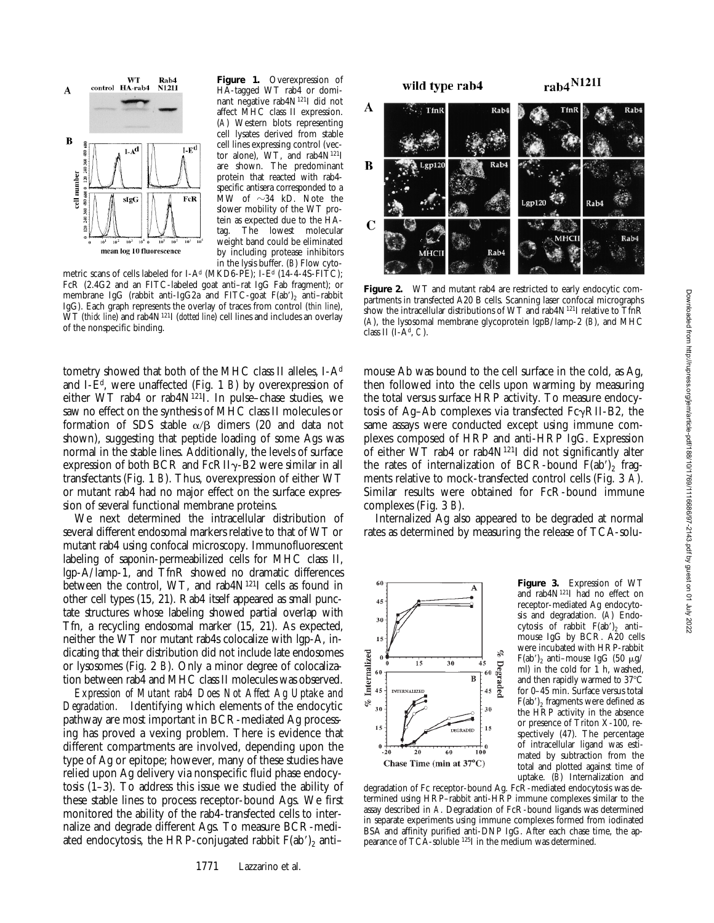

**Figure 1.** Overexpression of HA-tagged WT rab4 or dominant negative rab4N121I did not affect MHC class II expression. (*A*) Western blots representing cell lysates derived from stable cell lines expressing control (vector alone), WT, and rab4N121I are shown. The predominant protein that reacted with rab4 specific antisera corresponded to a MW of  $\sim$ 34 kD. Note the slower mobility of the WT protein as expected due to the HAtag. The lowest molecular weight band could be eliminated by including protease inhibitors in the lysis buffer. (*B*) Flow cyto-

metric scans of cells labeled for I-A<sup>d</sup> (MKD6-PE); I-E<sup>d</sup> (14-4-4S-FITC); FcR (2.4G2 and an FITC-labeled goat anti–rat IgG Fab fragment); or membrane IgG (rabbit anti-IgG2a and FITC-goat  $F(ab')_2$  anti-rabbit IgG). Each graph represents the overlay of traces from control (*thin line*), WT (*thick line*) and rab4N121I (*dotted line*) cell lines and includes an overlay of the nonspecific binding.

tometry showed that both of the MHC class II alleles, I-Ad and I-Ed, were unaffected (Fig. 1 *B*) by overexpression of either WT rab4 or rab4N121I. In pulse–chase studies, we saw no effect on the synthesis of MHC class II molecules or formation of SDS stable  $\alpha/\beta$  dimers (20 and data not shown), suggesting that peptide loading of some Ags was normal in the stable lines. Additionally, the levels of surface expression of both BCR and  $FcRII\gamma$ -B2 were similar in all transfectants (Fig. 1 *B*). Thus, overexpression of either WT or mutant rab4 had no major effect on the surface expression of several functional membrane proteins.

We next determined the intracellular distribution of several different endosomal markers relative to that of WT or mutant rab4 using confocal microscopy. Immunofluorescent labeling of saponin-permeabilized cells for MHC class II, lgp-A/lamp-1, and TfnR showed no dramatic differences between the control, WT, and rab4N<sup>121</sup>I cells as found in other cell types (15, 21). Rab4 itself appeared as small punctate structures whose labeling showed partial overlap with Tfn, a recycling endosomal marker (15, 21). As expected, neither the WT nor mutant rab4s colocalize with lgp-A, indicating that their distribution did not include late endosomes or lysosomes (Fig. 2 *B*). Only a minor degree of colocalization between rab4 and MHC class II molecules was observed.

*Expression of Mutant rab4 Does Not Affect Ag Uptake and Degradation.* Identifying which elements of the endocytic pathway are most important in BCR-mediated Ag processing has proved a vexing problem. There is evidence that different compartments are involved, depending upon the type of Ag or epitope; however, many of these studies have relied upon Ag delivery via nonspecific fluid phase endocytosis (1–3). To address this issue we studied the ability of these stable lines to process receptor-bound Ags. We first monitored the ability of the rab4-transfected cells to internalize and degrade different Ags. To measure BCR-mediated endocytosis, the HRP-conjugated rabbit  $F(ab')_2$  anti-



Figure 2. WT and mutant rab4 are restricted to early endocytic compartments in transfected A20 B cells. Scanning laser confocal micrographs show the intracellular distributions of WT and rab4 $N^{121}$ I relative to TfnR (*A*), the lysosomal membrane glycoprotein lgpB/lamp-2 (*B*), and MHC class II (I-Ad, *C*).

mouse Ab was bound to the cell surface in the cold, as Ag, then followed into the cells upon warming by measuring the total versus surface HRP activity. To measure endocytosis of Ag–Ab complexes via transfected  $Fc\gamma RII-B2$ , the same assays were conducted except using immune complexes composed of HRP and anti-HRP IgG. Expression of either WT rab4 or rab4N121I did not significantly alter the rates of internalization of BCR-bound  $F(ab')$ <sub>2</sub> fragments relative to mock-transfected control cells (Fig. 3 *A*). Similar results were obtained for FcR-bound immune complexes (Fig. 3 *B*).

Internalized Ag also appeared to be degraded at normal rates as determined by measuring the release of TCA-solu-



**Figure 3.** Expression of WT and rab4N121I had no effect on receptor-mediated Ag endocytosis and degradation. (*A*) Endocytosis of rabbit  $F(ab')_2$  antimouse IgG by BCR. A20 cells were incubated with HRP-rabbit F(ab')<sub>2</sub> anti-mouse IgG (50  $\mu$ g/ ml) in the cold for 1 h, washed, and then rapidly warmed to  $37^{\circ}$ C for 0–45 min. Surface versus total  $F(ab')$ , fragments were defined as the HRP activity in the absence or presence of Triton X-100, respectively (47). The percentage of intracellular ligand was estimated by subtraction from the total and plotted against time of uptake. (*B*) Internalization and

degradation of Fc receptor-bound Ag. FcR-mediated endocytosis was determined using HRP–rabbit anti-HRP immune complexes similar to the assay described in *A*. Degradation of FcR-bound ligands was determined in separate experiments using immune complexes formed from iodinated BSA and affinity purified anti-DNP IgG. After each chase time, the appearance of TCA-soluble 125I in the medium was determined.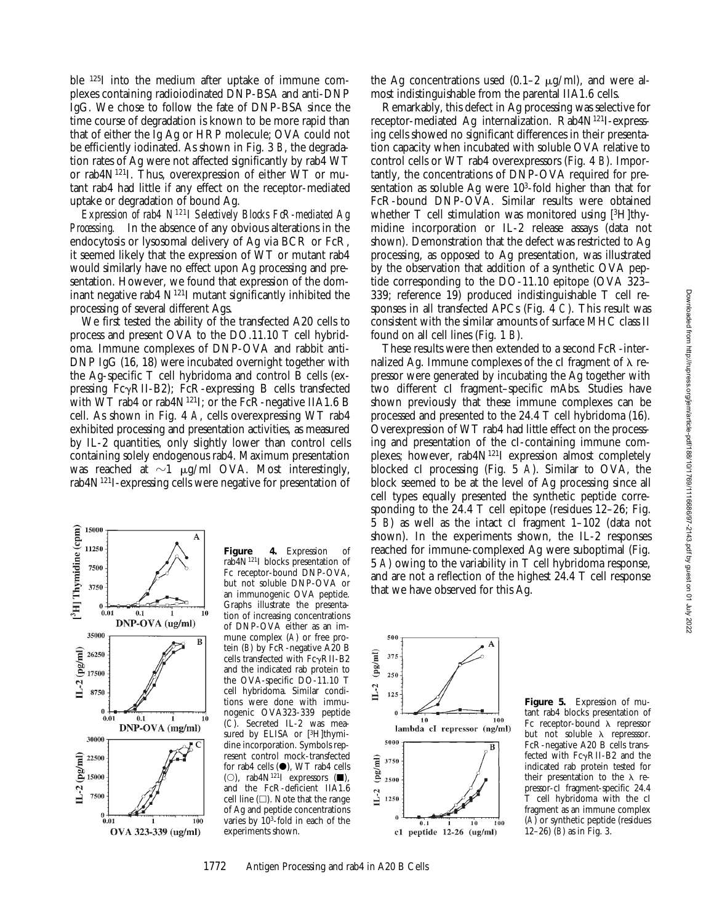ble 125I into the medium after uptake of immune complexes containing radioiodinated DNP-BSA and anti-DNP IgG. We chose to follow the fate of DNP-BSA since the time course of degradation is known to be more rapid than that of either the Ig Ag or HRP molecule; OVA could not be efficiently iodinated. As shown in Fig. 3 *B*, the degradation rates of Ag were not affected significantly by rab4 WT or rab4N121I. Thus, overexpression of either WT or mutant rab4 had little if any effect on the receptor-mediated uptake or degradation of bound Ag.

*Expression of rab4 N121I Selectively Blocks FcR-mediated Ag Processing.* In the absence of any obvious alterations in the endocytosis or lysosomal delivery of Ag via BCR or FcR, it seemed likely that the expression of WT or mutant rab4 would similarly have no effect upon Ag processing and presentation. However, we found that expression of the dominant negative rab $4 \mathrm{N}^{121}$ I mutant significantly inhibited the processing of several different Ags.

We first tested the ability of the transfected A20 cells to process and present OVA to the DO.11.10 T cell hybridoma. Immune complexes of DNP-OVA and rabbit anti-DNP IgG (16, 18) were incubated overnight together with the Ag-specific T cell hybridoma and control B cells (expressing  $Fc\gamma RII-B2$ ;  $FcR$ -expressing B cells transfected with WT rab4 or rab4 $N^{121}$ I; or the FcR-negative IIA1.6 B cell. As shown in Fig. 4 *A*, cells overexpressing WT rab4 exhibited processing and presentation activities, as measured by IL-2 quantities, only slightly lower than control cells containing solely endogenous rab4. Maximum presentation was reached at  $\sim$ 1  $\mu$ g/ml OVA. Most interestingly, rab4N121I-expressing cells were negative for presentation of



**Figure 4.** Expression of rab4N121I blocks presentation of Fc receptor-bound DNP-OVA, but not soluble DNP-OVA or an immunogenic OVA peptide. Graphs illustrate the presentation of increasing concentrations of DNP-OVA either as an immune complex (*A*) or free protein (*B*) by FcR-negative A20 B cells transfected with  $Fc\gamma RII-B2$ and the indicated rab protein to the OVA-specific DO-11.10 T cell hybridoma. Similar conditions were done with immunogenic OVA323-339 peptide (*C*). Secreted IL-2 was measured by ELISA or [3H]thymidine incorporation. Symbols represent control mock-transfected for rab4 cells  $(\bullet)$ , WT rab4 cells (O), rab4 $N^{121}I$  expressors ( $\blacksquare$ ), and the FcR-deficient IIA1.6 cell line  $(\Box)$ . Note that the range of Ag and peptide concentrations varies by  $10^3$ -fold in each of the experiments shown.

the Ag concentrations used  $(0.1-2 \mu g/ml)$ , and were almost indistinguishable from the parental IIA1.6 cells.

Remarkably, this defect in Ag processing was selective for receptor-mediated Ag internalization. Rab4N121I-expressing cells showed no significant differences in their presentation capacity when incubated with soluble OVA relative to control cells or WT rab4 overexpressors (Fig. 4 *B*). Importantly, the concentrations of DNP-OVA required for presentation as soluble Ag were  $10<sup>3</sup>$ -fold higher than that for FcR-bound DNP-OVA. Similar results were obtained whether T cell stimulation was monitored using [3H]thymidine incorporation or IL-2 release assays (data not shown). Demonstration that the defect was restricted to Ag processing, as opposed to Ag presentation, was illustrated by the observation that addition of a synthetic OVA peptide corresponding to the DO-11.10 epitope (OVA 323– 339; reference 19) produced indistinguishable T cell responses in all transfected APCs (Fig. 4 *C*). This result was consistent with the similar amounts of surface MHC class II found on all cell lines (Fig. 1 *B*).

These results were then extended to a second FcR-internalized Ag. Immune complexes of the cI fragment of  $\lambda$  repressor were generated by incubating the Ag together with two different cI fragment–specific mAbs. Studies have shown previously that these immune complexes can be processed and presented to the 24.4 T cell hybridoma (16). Overexpression of WT rab4 had little effect on the processing and presentation of the cI-containing immune complexes; however, rab4N121I expression almost completely blocked cI processing (Fig. 5 *A*). Similar to OVA, the block seemed to be at the level of Ag processing since all cell types equally presented the synthetic peptide corresponding to the 24.4 T cell epitope (residues 12–26; Fig. 5 *B*) as well as the intact cI fragment 1–102 (data not shown). In the experiments shown, the IL-2 responses reached for immune-complexed Ag were suboptimal (Fig. 5 *A*) owing to the variability in T cell hybridoma response, and are not a reflection of the highest 24.4 T cell response that we have observed for this Ag.



**Figure 5.** Expression of mutant rab4 blocks presentation of Fc receptor-bound  $\lambda$  repressor but not soluble  $\lambda$  represssor. FcR-negative A20 B cells transfected with  $Fc\gamma RII-B2$  and the indicated rab protein tested for their presentation to the  $\lambda$  repressor-cI fragment-specific 24.4 T cell hybridoma with the cI fragment as an immune complex (*A*) or synthetic peptide (residues 12–26) (*B*) as in Fig. 3.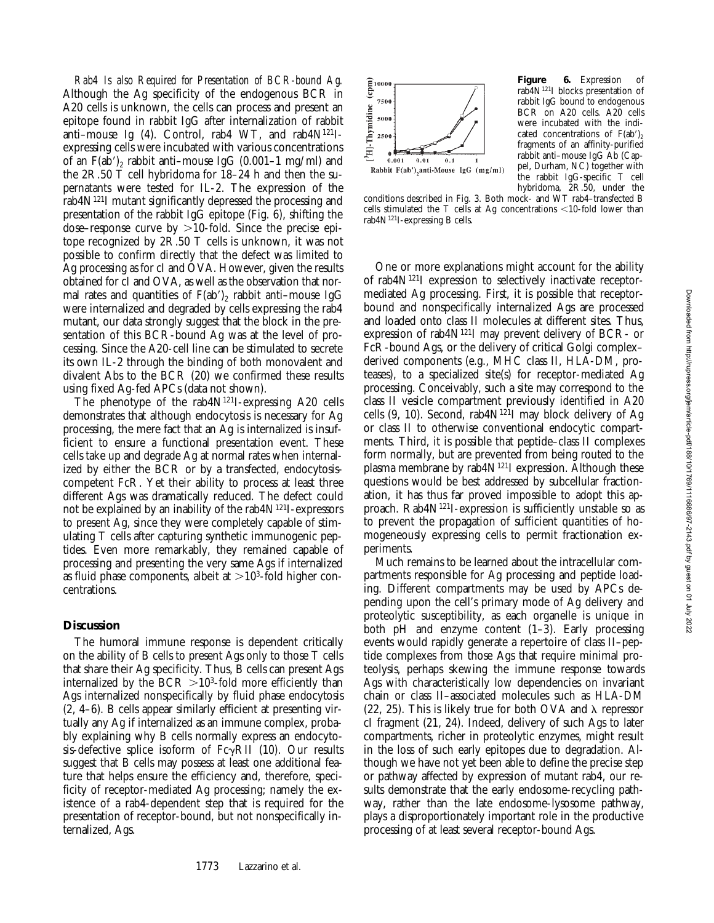*Rab4 Is also Required for Presentation of BCR-bound Ag.* Although the Ag specificity of the endogenous BCR in A20 cells is unknown, the cells can process and present an epitope found in rabbit IgG after internalization of rabbit anti-mouse Ig (4). Control, rab4 WT, and rab4N<sup>121</sup>Iexpressing cells were incubated with various concentrations of an  $F(a\bar{b}')$ , rabbit anti–mouse IgG (0.001–1 mg/ml) and the 2R.50 T cell hybridoma for 18–24 h and then the supernatants were tested for IL-2. The expression of the rab4N121I mutant significantly depressed the processing and presentation of the rabbit IgG epitope (Fig. 6), shifting the dose–response curve by  $>10$ -fold. Since the precise epitope recognized by 2R.50 T cells is unknown, it was not possible to confirm directly that the defect was limited to Ag processing as for cI and OVA. However, given the results obtained for cI and OVA, as well as the observation that normal rates and quantities of  $F(ab')_2$  rabbit anti-mouse IgG were internalized and degraded by cells expressing the rab4 mutant, our data strongly suggest that the block in the presentation of this BCR-bound Ag was at the level of processing. Since the A20-cell line can be stimulated to secrete its own IL-2 through the binding of both monovalent and divalent Abs to the BCR (20) we confirmed these results using fixed Ag-fed APCs (data not shown).

The phenotype of the rab $4N^{121}$ -expressing A20 cells demonstrates that although endocytosis is necessary for Ag processing, the mere fact that an Ag is internalized is insufficient to ensure a functional presentation event. These cells take up and degrade Ag at normal rates when internalized by either the BCR or by a transfected, endocytosiscompetent FcR. Yet their ability to process at least three different Ags was dramatically reduced. The defect could not be explained by an inability of the rab $4N^{121}I$ -expressors to present Ag, since they were completely capable of stimulating T cells after capturing synthetic immunogenic peptides. Even more remarkably, they remained capable of processing and presenting the very same Ags if internalized as fluid phase components, albeit at  $>10^3$ -fold higher concentrations.

# **Discussion**

The humoral immune response is dependent critically on the ability of B cells to present Ags only to those T cells that share their Ag specificity. Thus, B cells can present Ags internalized by the  $BCR > 10<sup>3</sup>$ -fold more efficiently than Ags internalized nonspecifically by fluid phase endocytosis (2, 4–6). B cells appear similarly efficient at presenting virtually any Ag if internalized as an immune complex, probably explaining why B cells normally express an endocytosis-defective splice isoform of  $Fc\gamma RII$  (10). Our results suggest that B cells may possess at least one additional feature that helps ensure the efficiency and, therefore, specificity of receptor-mediated Ag processing; namely the existence of a rab4-dependent step that is required for the presentation of receptor-bound, but not nonspecifically internalized, Ags.



**Figure 6.** Expression of rab4N121I blocks presentation of rabbit IgG bound to endogenous BCR on A20 cells. A20 cells were incubated with the indicated concentrations of  $F(ab')_2$ fragments of an affinity-purified rabbit anti–mouse IgG Ab (Cappel, Durham, NC) together with the rabbit IgG-specific T cell hybridoma, 2R.50, under the

conditions described in Fig. 3. Both mock- and WT rab4–transfected B cells stimulated the T cells at Ag concentrations  $\leq$ 10-fold lower than rab $4N^{121}I$ -expressing B cells.

One or more explanations might account for the ability of rab4N121I expression to selectively inactivate receptormediated Ag processing. First, it is possible that receptorbound and nonspecifically internalized Ags are processed and loaded onto class II molecules at different sites. Thus, expression of rab4N121I may prevent delivery of BCR- or FcR-bound Ags, or the delivery of critical Golgi complex– derived components (e.g., MHC class II, HLA-DM, proteases), to a specialized site(s) for receptor-mediated Ag processing. Conceivably, such a site may correspond to the class II vesicle compartment previously identified in A20 cells  $(9, 10)$ . Second, rab $4N^{121}$ I may block delivery of Ag or class II to otherwise conventional endocytic compartments. Third, it is possible that peptide–class II complexes form normally, but are prevented from being routed to the plasma membrane by rab4N<sup>121</sup>I expression. Although these questions would be best addressed by subcellular fractionation, it has thus far proved impossible to adopt this approach. Rab4N121I-expression is sufficiently unstable so as to prevent the propagation of sufficient quantities of homogeneously expressing cells to permit fractionation experiments.

Much remains to be learned about the intracellular compartments responsible for Ag processing and peptide loading. Different compartments may be used by APCs depending upon the cell's primary mode of Ag delivery and proteolytic susceptibility, as each organelle is unique in both pH and enzyme content (1–3). Early processing events would rapidly generate a repertoire of class II–peptide complexes from those Ags that require minimal proteolysis, perhaps skewing the immune response towards Ags with characteristically low dependencies on invariant chain or class II–associated molecules such as HLA-DM (22, 25). This is likely true for both OVA and  $\lambda$  repressor cI fragment (21, 24). Indeed, delivery of such Ags to later compartments, richer in proteolytic enzymes, might result in the loss of such early epitopes due to degradation. Although we have not yet been able to define the precise step or pathway affected by expression of mutant rab4, our results demonstrate that the early endosome-recycling pathway, rather than the late endosome-lysosome pathway, plays a disproportionately important role in the productive processing of at least several receptor-bound Ags.